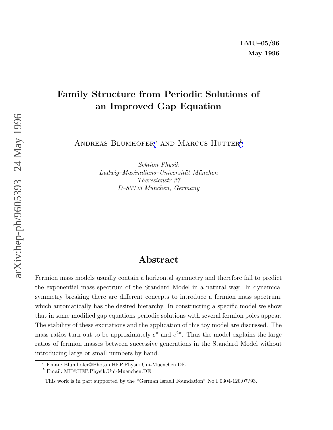### **Family Structure from Periodic Solutions of an Improved Gap Equation**

ANDREAS BLUMHOFER<sup><sup>*a*</sup> AND MARCUS HUTTER<sup>*b*</sup></sup>

Sektion Physik  $Ludwig-Maximilians-Universität München$ Theresienstr.37 D–80333 München, Germany

### **Abstract**

Fermion mass models usually contain a horizontal symmetry and therefore fail to predict the exponential mass spectrum of the Standard Model in a natural way. In dynamical symmetry breaking there are different concepts to introduce a fermion mass spectrum, which automatically has the desired hierarchy. In constructing a specific model we show that in some modified gap equations periodic solutions with several fermion poles appear. The stability of these excitations and the application of this toy model are discussed. The mass ratios turn out to be approximately  $e^{\pi}$  and  $e^{2\pi}$ . Thus the model explains the large ratios of fermion masses between successive generations in the Standard Model without introducing large or small numbers by hand.

<sup>a</sup> Email: Blumhofer@Photon.HEP.Physik.Uni-Muenchen.DE

<sup>b</sup> Email: MH@HEP.Physik.Uni-Muenchen.DE

This work is in part supported by the "German Israeli Foundation" No.I 0304-120.07/93.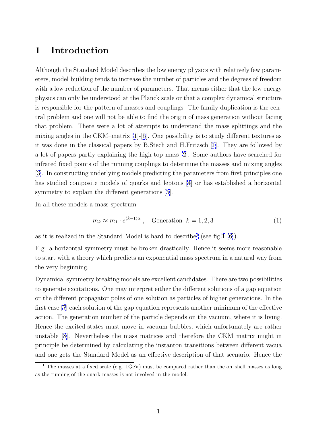### **1 Introduction**

Although the Standard Model describes the low energy physics with relatively few parameters, model building tends to increase the number of particles and the degrees of freedom with a low reduction of the number of parameters. That means either that the low energy physics can only be understood at the Planck scale or that a complex dynamical structure is responsible for the pattern of masses and couplings. The family duplication is the central problem and one will not be able to find the origin of mass generation without facing that problem. There were a lot of attempts to understand the mass splittings and the mixing angles in the CKM–matrix  $[1]-[5]$  $[1]-[5]$  $[1]-[5]$  $[1]-[5]$ . One possibility is to study different textures as it was done in the classical papers by B.Stech and H.Fritzsch [\[1](#page-18-0)]. They are followed by a lot of papers partly explaining the high top mass [\[2](#page-18-0)]. Some authors have searched for infrared fixed points of the running couplings to determine the masses and mixing angles [[3\]](#page-18-0). In constructing underlying models predicting the parameters from first principles one has studied composite models of quarks and leptons [\[4\]](#page-18-0) or has established a horizontal symmetry to explain the different generations [[5\]](#page-18-0).

In all these models a mass spectrum

$$
m_k \approx m_1 \cdot e^{(k-1)\alpha} \,, \quad \text{Generation } k = 1, 2, 3 \tag{1}
$$

as it is realized in the Standard Model is hard to describe<sup>1</sup> (see fig. 1 [\[6\]](#page-18-0)).

E.g. a horizontal symmetry must be broken drastically. Hence it seems more reasonable to start with a theory which predicts an exponential mass spectrum in a natural way from the very beginning.

Dynamical symmetry breaking models are excellent candidates. There are two possibilities to generate excitations. One may interpret either the different solutions of a gap equation or the different propagator poles of one solution as particles of higher generations. In the first case [\[7](#page-18-0)] each solution of the gap equation represents another minimum of the effective action. The generation number of the particle depends on the vacuum, where it is living. Hence the excited states must move in vacuum bubbles, which unfortunately are rather unstable [\[8](#page-18-0)]. Nevertheless the mass matrices and therefore the CKM matrix might in principle be determined by calculating the instanton transitions between different vacua and one gets the Standard Model as an effective description of that scenario. Hence the

<sup>&</sup>lt;sup>1</sup> The masses at a fixed scale (e.g. 1GeV) must be compared rather than the on-shell masses as long as the running of the quark masses is not involved in the model.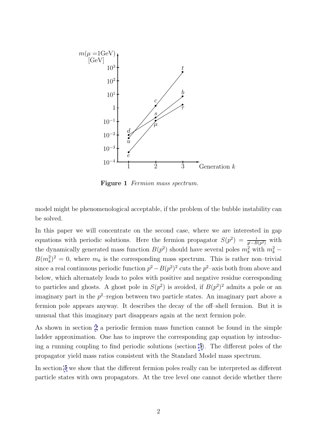<span id="page-2-0"></span>

Figure 1 Fermion mass spectrum.

model might be phenomenological acceptable, if the problem of the bubble instability can be solved.

In this paper we will concentrate on the second case, where we are interested in gap equations with periodic solutions. Here the fermion propagator  $S(p^2) = \frac{i}{p^2 - B(p^2)}$  with the dynamically generated mass function  $B(p^2)$  should have several poles  $m_k^2$  with  $m_k^2$  –  $B(m_k^2)^2 = 0$ , where  $m_k$  is the corresponding mass spectrum. This is rather non-trivial since a real continuous periodic function  $p^2 - B(p^2)^2$  cuts the  $p^2$ –axis both from above and below, which alternately leads to poles with positive and negative residue corresponding to particles and ghosts. A ghost pole in  $S(p^2)$  is avoided, if  $B(p^2)^2$  admits a pole or an imaginary part in the  $p^2$ -region between two particle states. An imaginary part above a fermion pole appears anyway. It describes the decay of the off–shell fermion. But it is unusual that this imaginary part disappears again at the next fermion pole.

As shown in section [2](#page-3-0) a periodic fermion mass function cannot be found in the simple ladder approximation. One has to improve the corresponding gap equation by introducing a running coupling to find periodic solutions (section [3](#page-5-0)). The different poles of the propagator yield mass ratios consistent with the Standard Model mass spectrum.

In section [4](#page-10-0) we show that the different fermion poles really can be interpreted as different particle states with own propagators. At the tree level one cannot decide whether there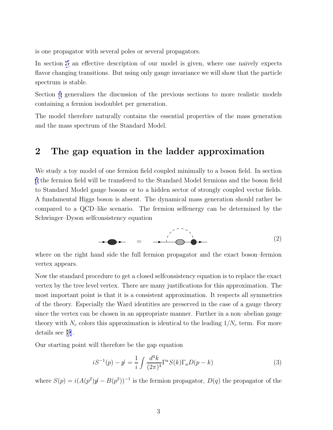<span id="page-3-0"></span>is one propagator with several poles or several propagators.

In section [5](#page-12-0) an effective description of our model is given, where one naively expects flavor changing transitions. But using only gauge invariance we will show that the particle spectrum is stable.

Section [6](#page-14-0) generalizes the discussion of the previous sections to more realistic models containing a fermion isodoublet per generation.

The model therefore naturally contains the essential properties of the mass generation and the mass spectrum of the Standard Model.

### **2 The gap equation in the ladder approximation**

We study a toy model of one fermion field coupled minimally to a boson field. In section [6](#page-14-0) the fermion field will be transfered to the Standard Model fermions and the boson field to Standard Model gauge bosons or to a hidden sector of strongly coupled vector fields. A fundamental Higgs boson is absent. The dynamical mass generation should rather be compared to a QCD–like scenario. The fermion selfenergy can be determined by the Schwinger–Dyson selfconsistency equation

= (2)

where on the right hand side the full fermion propagator and the exact boson–fermion vertex appears.

Now the standard procedure to get a closed selfconsistency equation is to replace the exact vertex by the tree level vertex. There are many justifications for this approximation. The most important point is that it is a consistent approximation. It respects all symmetries of the theory. Especially the Ward identities are preserved in the case of a gauge theory since the vertex can be chosen in an appropriate manner. Further in a non–abelian gauge theory with  $N_c$  colors this approximation is identical to the leading  $1/N_c$  term. For more details see [[9\]](#page-18-0).

Our starting point will therefore be the gap equation

$$
iS^{-1}(p) - p' = \frac{1}{i} \int \frac{d^4k}{(2\pi)^4} \Gamma^a S(k) \Gamma_a D(p - k)
$$
 (3)

where  $S(p) = i(A(p^2)p' - B(p^2))^{-1}$  is the fermion propagator,  $D(q)$  the propagator of the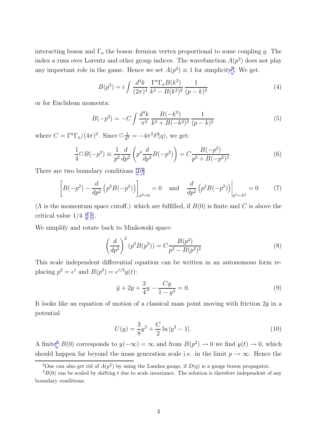<span id="page-4-0"></span>interacting boson and  $\Gamma_a$  the boson–fermion vertex proportional to some coupling g. The index a runs over Lorentz and other group indices. The wavefunction  $A(p^2)$  does not play any important role in the game. Hence we set  $A(p^2) \equiv 1$  for simplicity<sup>2</sup>. We get:

$$
B(p^2) = i \int \frac{d^4k}{(2\pi)^4} \frac{\Gamma^a \Gamma_a B(k^2)}{k^2 - B(k^2)^2} \frac{1}{(p-k)^2}
$$
(4)

or for Euclidean momenta:

$$
B(-p^2) = -C \int \frac{d^4k}{\pi^2} \frac{B(-k^2)}{k^2 + B(-k^2)^2} \frac{1}{(p-k)^2}
$$
(5)

where  $C = \Gamma^a \Gamma_a / (4\pi)^2$ . Since  $\Box \frac{1}{q^2} = -4\pi^2 \delta^4(q)$ , we get:

$$
\frac{1}{4}\Box B(-p^2) \equiv \frac{1}{p^2}\frac{d}{dp^2}\left(p^4\frac{d}{dp^2}B(-p^2)\right) = C\frac{B(-p^2)}{p^2 + B(-p^2)^2}.
$$
\n(6)

There are two boundary conditions [[10\]](#page-18-0)

$$
\[B(-p^2) - \frac{d}{dp^2} \left(p^2 B(-p^2)\right)\]_{p^2=0} = 0 \quad \text{and} \quad \frac{d}{dp^2} \left(p^2 B(-p^2)\right)\Big|_{p^2=\Lambda^2} = 0 \tag{7}
$$

 $(\Lambda$  is the momentum space cutoff.) which are fulfilled, if  $B(0)$  is finite and C is above the critical value 1/4 [[11](#page-18-0)].

We simplify and rotate back to Minkowski space:

$$
\left(\frac{d}{dp^2}\right)^2 (p^2 B(p^2)) = C \frac{B(p^2)}{p^2 - B(p^2)^2}
$$
\n(8)

This scale independent differential equation can be written in an autonomous form replacing  $p^2 = e^t$  and  $B(p^2) = e^{t/2}y(t)$ :

$$
\ddot{y} + 2\dot{y} + \frac{3}{4}y - \frac{Cy}{1 - y^2} = 0.
$$
\n(9)

It looks like an equation of motion of a classical mass point moving with friction  $2\dot{y}$  in a potential

$$
U(y) = \frac{3}{8}y^2 + \frac{C}{2}\ln|y^2 - 1|.
$$
 (10)

A finite<sup>3</sup> B(0) corresponds to  $y(-\infty) = \infty$  and from  $B(p^2) \to 0$  we find  $y(t) \to 0$ , which should happen far beyond the mass generation scale i.e. in the limit  $p \to \infty$ . Hence the

<sup>&</sup>lt;sup>2</sup>One can also get rid of  $A(p^2)$  by using the Landau gauge, if  $D(q)$  is a gauge boson propagator.

 $3B(0)$  can be scaled by shifting t due to scale invariance. The solution is therefore independent of any boundary conditions.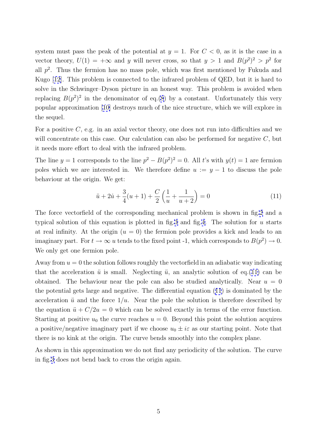<span id="page-5-0"></span>system must pass the peak of the potential at  $y = 1$ . For  $C < 0$ , as it is the case in a vector theory,  $U(1) = +\infty$  and y will never cross, so that  $y > 1$  and  $B(p^2)^2 > p^2$  for all  $p^2$ . Thus the fermion has no mass pole, which was first mentioned by Fukuda and Kugo [\[12](#page-18-0)]. This problem is connected to the infrared problem of QED, but it is hard to solve in the Schwinger–Dyson picture in an honest way. This problem is avoided when replacing  $B(p^2)^2$  in the denominator of eq.[\(8](#page-4-0)) by a constant. Unfortunately this very popular approximation [\[10\]](#page-18-0) destroys much of the nice structure, which we will explore in the sequel.

For a positive  $C$ , e.g. in an axial vector theory, one does not run into difficulties and we will concentrate on this case. Our calculation can also be performed for negative  $C$ , but it needs more effort to deal with the infrared problem.

The line  $y = 1$  corresponds to the line  $p^2 - B(p^2)^2 = 0$ . All t's with  $y(t) = 1$  are fermion poles which we are interested in. We therefore define  $u := y - 1$  to discuss the pole behaviour at the origin. We get:

$$
\ddot{u} + 2\dot{u} + \frac{3}{4}(u+1) + \frac{C}{2}\left(\frac{1}{u} + \frac{1}{u+2}\right) = 0\tag{11}
$$

The force vectorfield of the corresponding mechanical problem is shown in fig[.2](#page-6-0) and a typical solution of this equation is plotted in fig. [3](#page-6-0) and fig. 4. The solution for u starts at real infinity. At the origin  $(u = 0)$  the fermion pole provides a kick and leads to an imaginary part. For  $t \to \infty$  u tends to the fixed point -1, which corresponds to  $B(p^2) \to 0$ . We only get one fermion pole.

Away from  $u = 0$  the solution follows roughly the vectorfield in an adiabatic way indicating that the acceleration  $\ddot{u}$  is small. Neglecting  $\ddot{u}$ , an analytic solution of eq.(11) can be obtained. The behaviour near the pole can also be studied analytically. Near  $u = 0$ the potential gets large and negative. The differential equation (11) is dominated by the acceleration  $\ddot{u}$  and the force  $1/u$ . Near the pole the solution is therefore described by the equation  $\ddot{u} + C/2u = 0$  which can be solved exactly in terms of the error function. Starting at positive  $u_0$  the curve reaches  $u = 0$ . Beyond this point the solution acquires a positive/negative imaginary part if we choose  $u_0 \pm i\varepsilon$  as our starting point. Note that there is no kink at the origin. The curve bends smoothly into the complex plane.

As shown in this approximation we do not find any periodicity of the solution. The curve in fig.[3](#page-6-0) does not bend back to cross the origin again.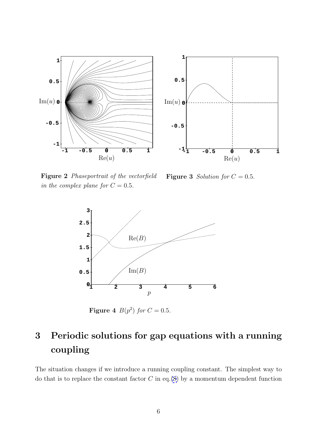<span id="page-6-0"></span>



**Figure 2** Phaseportrait of the vectorfield in the complex plane for  $C = 0.5$ .

**Figure 3** Solution for  $C = 0.5$ .



**Figure 4**  $B(p^2)$  for  $C = 0.5$ .

# **3 Periodic solutions for gap equations with a running coupling**

The situation changes if we introduce a running coupling constant. The simplest way to do that is to replace the constant factor  $C$  in eq.[\(8](#page-4-0)) by a momentum dependent function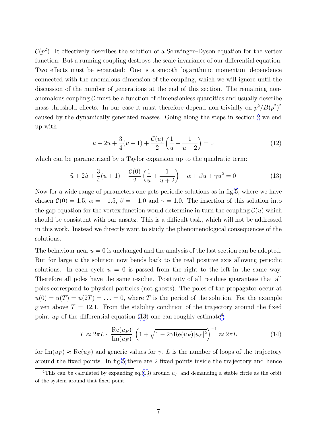<span id="page-7-0"></span> $\mathcal{C}(p^2)$ . It effectively describes the solution of a Schwinger–Dyson equation for the vertex function. But a running coupling destroys the scale invariance of our differential equation. Two effects must be separated: One is a smooth logarithmic momentum dependence connected with the anomalous dimension of the coupling, which we will ignore until the discussion of the number of generations at the end of this section. The remaining nonanomalous coupling  $\mathcal C$  must be a function of dimensionless quantities and usually describe mass threshold effects. In our case it must therefore depend non-trivially on  $p^2/B(p^2)^2$ caused by the dynamically generated masses. Going along the steps in section [2](#page-3-0) we end up with

$$
\ddot{u} + 2\dot{u} + \frac{3}{4}(u+1) + \frac{\mathcal{C}(u)}{2}\left(\frac{1}{u} + \frac{1}{u+2}\right) = 0\tag{12}
$$

which can be parametrized by a Taylor expansion up to the quadratic term:

$$
\ddot{u} + 2\dot{u} + \frac{3}{4}(u+1) + \frac{\mathcal{C}(0)}{2}\left(\frac{1}{u} + \frac{1}{u+2}\right) + \alpha + \beta u + \gamma u^2 = 0\tag{13}
$$

Now for a wide range of parameters one gets periodic solutions as in fig.[5,](#page-8-0) where we have chosen  $\mathcal{C}(0) = 1.5, \ \alpha = -1.5, \ \beta = -1.0$  and  $\gamma = 1.0$ . The insertion of this solution into the gap equation for the vertex function would determine in turn the coupling  $\mathcal{C}(u)$  which should be consistent with our ansatz. This is a difficult task, which will not be addressed in this work. Instead we directly want to study the phenomenological consequences of the solutions.

The behaviour near  $u = 0$  is unchanged and the analysis of the last section can be adopted. But for large u the solution now bends back to the real positive axis allowing periodic solutions. In each cycle  $u = 0$  is passed from the right to the left in the same way. Therefore all poles have the same residue. Positivity of all residues guarantees that all poles correspond to physical particles (not ghosts). The poles of the propagator occur at  $u(0) = u(T) = u(2T) = \ldots = 0$ , where T is the period of the solution. For the example given above  $T = 12.1$ . From the stability condition of the trajectory around the fixed point  $u_F$  of the differential equation (13) one can roughly estimate<sup>4</sup>:

$$
T \approx 2\pi L \cdot \left| \frac{\text{Re}(u_F)}{\text{Im}(u_F)} \right| \left( 1 + \sqrt{1 - 2\gamma \text{Re}(u_F)|u_F|^2} \right)^{-1} \approx 2\pi L \tag{14}
$$

for  $\text{Im}(u_F) \approx \text{Re}(u_F)$  and generic values for  $\gamma$ . L is the number of loops of the trajectory around the fixed points. In fig[.5](#page-8-0) there are 2 fixed points inside the trajectory and hence

<sup>&</sup>lt;sup>4</sup>This can be calculated by expanding eq.(13) around  $u_F$  and demanding a stable circle as the orbit of the system around that fixed point.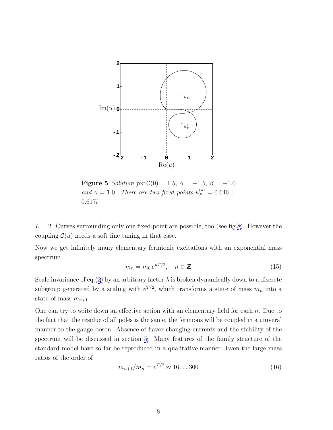<span id="page-8-0"></span>

**Figure 5** Solution for  $C(0) = 1.5$ ,  $\alpha = -1.5$ ,  $\beta = -1.0$ and  $\gamma = 1.0$ . There are two fixed points  $u_F^{(*)} = 0.646 \pm$ 0.617i.

 $L = 2$ . Curves surrounding only one fixed point are possible, too (see fig[.8](#page-11-0)). However the coupling  $\mathcal{C}(u)$  needs a soft fine tuning in that case.

Now we get infinitely many elementary fermionic excitations with an exponential mass spectrum

$$
m_n = m_0 e^{nT/2}, \quad n \in \mathbb{Z}
$$
\n<sup>(15)</sup>

Scale invariance of eq.([3](#page-3-0)) by an arbitrary factor  $\lambda$  is broken dynamically down to a discrete subgroup generated by a scaling with  $e^{T/2}$ , which transforms a state of mass  $m_n$  into a state of mass  $m_{n+1}$ .

One can try to write down an effective action with an elementary field for each  $n$ . Due to the fact that the residue of all poles is the same, the fermions will be coupled in a univeral manner to the gauge boson. Absence of flavor changing currents and the stability of the spectrum will be discussed in section [5.](#page-12-0) Many features of the family structure of the standard model have so far be reproduced in a qualitative manner. Even the large mass ratios of the order of

$$
m_{n+1}/m_n = e^{T/2} \approx 16...300
$$
 (16)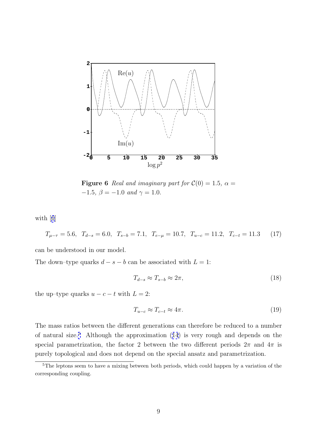

**Figure 6** Real and imaginary part for  $C(0) = 1.5$ ,  $\alpha =$ −1.5,  $\beta = -1.0$  and  $\gamma = 1.0.$ 

with [[6](#page-18-0)]

$$
T_{\mu-\tau} = 5.6, \quad T_{d-s} = 6.0, \quad T_{s-b} = 7.1, \quad T_{e-\mu} = 10.7, \quad T_{u-c} = 11.2, \quad T_{c-t} = 11.3 \tag{17}
$$

can be understood in our model.

The down–type quarks  $d - s - b$  can be associated with  $L = 1$ :

$$
T_{d-s} \approx T_{s-b} \approx 2\pi,\tag{18}
$$

the up–type quarks  $u - c - t$  with  $L = 2$ :

$$
T_{u-c} \approx T_{c-t} \approx 4\pi. \tag{19}
$$

The mass ratios between the different generations can therefore be reduced to a number of natural size.<sup>5</sup> Although the approximation ([14](#page-7-0)) is very rough and depends on the special parametrization, the factor 2 between the two different periods  $2\pi$  and  $4\pi$  is purely topological and does not depend on the special ansatz and parametrization.

<sup>&</sup>lt;sup>5</sup>The leptons seem to have a mixing between both periods, which could happen by a variation of the corresponding coupling.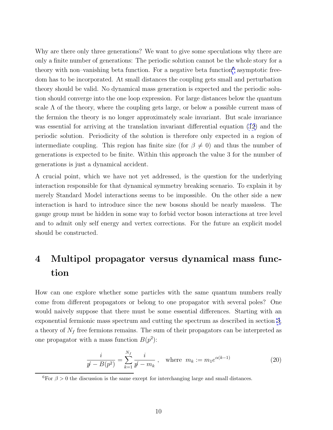<span id="page-10-0"></span>Why are there only three generations? We want to give some speculations why there are only a finite number of generations: The periodic solution cannot be the whole story for a theory with non–vanishing beta function. For a negative beta function $6$  asymptotic freedom has to be incorporated. At small distances the coupling gets small and perturbation theory should be valid. No dynamical mass generation is expected and the periodic solution should converge into the one loop expression. For large distances below the quantum scale  $\Lambda$  of the theory, where the coupling gets large, or below a possible current mass of the fermion the theory is no longer approximately scale invariant. But scale invariance was essential for arriving at the translation invariant differential equation [\(12](#page-7-0)) and the periodic solution. Periodicity of the solution is therefore only expected in a region of intermediate coupling. This region has finite size (for  $\beta \neq 0$ ) and thus the number of generations is expected to be finite. Within this approach the value 3 for the number of generations is just a dynamical accident.

A crucial point, which we have not yet addressed, is the question for the underlying interaction responsible for that dynamical symmetry breaking scenario. To explain it by merely Standard Model interactions seems to be impossible. On the other side a new interaction is hard to introduce since the new bosons should be nearly massless. The gauge group must be hidden in some way to forbid vector boson interactions at tree level and to admit only self energy and vertex corrections. For the future an explicit model should be constructed.

## **4 Multipol propagator versus dynamical mass function**

How can one explore whether some particles with the same quantum numbers really come from different propagators or belong to one propagator with several poles? One would naively suppose that there must be some essential differences. Starting with an exponential fermionic mass spectrum and cutting the spectrum as described in section [3,](#page-5-0) a theory of  $N_f$  free fermions remains. The sum of their propagators can be interpreted as one propagator with a mass function  $B(p^2)$ :

$$
\frac{i}{p!} \frac{k!}{-B(p^2)} = \sum_{k=1}^{N_f} \frac{i}{p!} - m_k, \quad \text{where} \quad m_k := m_1 e^{\alpha(k-1)} \tag{20}
$$

<sup>&</sup>lt;sup>6</sup>For  $\beta > 0$  the discussion is the same except for interchanging large and small distances.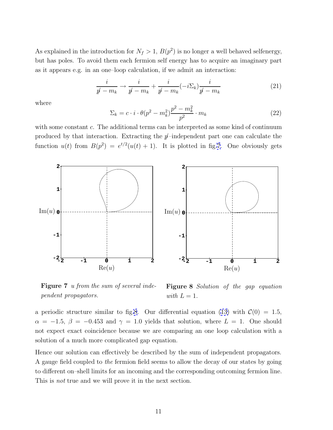<span id="page-11-0"></span>As explained in the introduction for  $N_f > 1$ ,  $B(p^2)$  is no longer a well behaved selfenergy, but has poles. To avoid them each fermion self energy has to acquire an imaginary part as it appears e.g. in an one–loop calculation, if we admit an interaction:

$$
\frac{i}{p+m_k} \to \frac{i}{p-m_k} + \frac{i}{p-m_k}(-i\Sigma_k)\frac{i}{p-m_k} \tag{21}
$$

where

$$
\Sigma_k = c \cdot i \cdot \theta(p^2 - m_k^2) \frac{p^2 - m_k^2}{p^2} \cdot m_k \tag{22}
$$

with some constant c. The additional terms can be interpreted as some kind of continuum produced by that interaction. Extracting the  $p$ -independent part one can calculate the function  $u(t)$  from  $B(p^2) = e^{t/2}(u(t) + 1)$ . It is plotted in fig.7. One obviously gets



**Figure 7** u from the sum of several independent propagators.

**Figure 8** Solution of the gap equation with  $L = 1$ .

a periodic structure similar to fig.8. Our differential equation [\(13\)](#page-7-0) with  $\mathcal{C}(0) = 1.5$ ,  $\alpha = -1.5, \beta = -0.453$  and  $\gamma = 1.0$  yields that solution, where  $L = 1$ . One should not expect exact coincidence because we are comparing an one loop calculation with a solution of a much more complicated gap equation.

Hence our solution can effectively be described by the sum of independent propagators. A gauge field coupled to the fermion field seems to allow the decay of our states by going to different on–shell limits for an incoming and the corresponding outcoming fermion line. This is *not* true and we will prove it in the next section.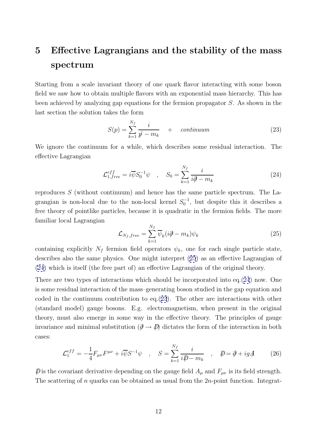# <span id="page-12-0"></span>**5 Effective Lagrangians and the stability of the mass spectrum**

Starting from a scale invariant theory of one quark flavor interacting with some boson field we saw how to obtain multiple flavors with an exponential mass hierarchy. This has been achieved by analyzing gap equations for the fermion propagator S. As shown in the last section the solution takes the form

$$
S(p) = \sum_{k=1}^{N_f} \frac{i}{p - m_k} + \qquad \text{continuum} \tag{23}
$$

We ignore the continuum for a while, which describes some residual interaction. The effective Lagrangian

$$
\mathcal{L}_{1,free}^{eff} = i\overline{\psi}S_0^{-1}\psi \quad , \quad S_0 = \sum_{k=1}^{N_f} \frac{i}{i\partial - m_k} \tag{24}
$$

reproduces  $S$  (without continuum) and hence has the same particle spectrum. The Lagrangian is non-local due to the non-local kernel  $S_0^{-1}$ , but despite this it describes a free theory of pointlike particles, because it is quadratic in the fermion fields. The more familiar local Lagrangian

$$
\mathcal{L}_{N_f,free} = \sum_{k=1}^{N_f} \overline{\psi}_k (i\partial - m_k) \psi_k \tag{25}
$$

containing explicitly  $N_f$  fermion field operators  $\psi_k$ , one for each single particle state, describes also the same physics. One might interpret (25) as an effective Lagrangian of (24) which is itself (the free part of) an effective Lagrangian of the original theory.

There are two types of interactions which should be incorporated into eq.(24) now. One is some residual interaction of the mass–generating boson studied in the gap equation and coded in the continuum contribution to eq.(23). The other are interactions with other (standard model) gauge bosons. E.g. electromagnetism, when present in the original theory, must also emerge in some way in the effective theory. The principles of gauge invariance and minimal substitution  $(\partial \to \psi)$  dictates the form of the interaction in both cases:

$$
\mathcal{L}_1^{eff} = -\frac{1}{4} F_{\mu\nu} F^{\mu\nu} + i \overline{\psi} S^{-1} \psi \quad , \quad S = \sum_{k=1}^{N_f} \frac{i}{i \mathcal{D} - m_k} \quad , \quad \mathcal{D} = \partial + i g \mathcal{A} \tag{26}
$$

 $\not\!\!\!D$  is the covariant derivative depending on the gauge field  $A_\mu$  and  $F_{\mu\nu}$  is its field strength. The scattering of n quarks can be obtained as usual from the 2n-point function. Integrat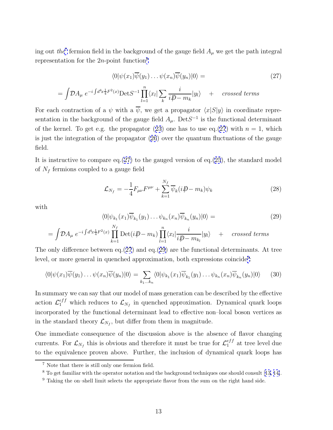<span id="page-13-0"></span>ing out the<sup>7</sup> fermion field in the background of the gauge field  $A_\mu$  we get the path integral representation for the  $2n$ -point function<sup>8</sup>

$$
\langle 0|\psi(x_1)\overline{\psi}(y_1)\dots\psi(x_n)\overline{\psi}(y_n)|0\rangle = \qquad (27)
$$

$$
= \int \! \mathcal{D}A_{\mu} \; e^{-i \int d^4x \frac{1}{4} F^2(x)} \text{Det} S^{-1} \prod_{l=1}^n \langle x_l | \sum_k \frac{i}{i \not\!\!D - m_k} | y_l \rangle \quad + \quad \text{crossed terms}
$$

For each contraction of a  $\psi$  with a  $\overline{\psi}$ , we get a propagator  $\langle x|S|y\rangle$  in coordinate representation in the background of the gauge field  $A_{\mu}$ . Det  $S^{-1}$  is the functional determinant of the kernel. To get e.g. the propagator ([23](#page-12-0)) one has to use eq.(27) with  $n = 1$ , which is just the integration of the propagator [\(26](#page-12-0)) over the quantum fluctuations of the gauge field.

It is instructive to compare eq.  $(27)$  to the gauged version of eq.  $(25)$  $(25)$  $(25)$ , the standard model of  $N_f$  fermions coupled to a gauge field

$$
\mathcal{L}_{N_f} = -\frac{1}{4} F_{\mu\nu} F^{\mu\nu} + \sum_{k=1}^{N_f} \overline{\psi}_k (i \not\!\!D - m_k) \psi_k \tag{28}
$$

with

$$
\langle 0|\psi_{k_1}(x_1)\overline{\psi}_{k_1}(y_1)\dots\psi_{k_n}(x_n)\overline{\psi}_{k_n}(y_n)|0\rangle =
$$
\n(29)

$$
= \int \! \mathcal{D}A_{\mu} \; e^{-i \int d^4x \frac{1}{4} F^2(x)} \prod_{k=1}^{N_f} \mathrm{Det}(i \not\!\!D - m_k) \prod_{l=1}^n \langle x_l | \frac{i}{i \not\!\!D - m_{k_l}} | y_l \rangle \quad + \quad \text{crossed terms}
$$

The only difference between eq.(27) and eq.(29) are the functional determinants. At tree level, or more general in quenched approximation, both expressions coincide<sup>9</sup>:

$$
\langle 0|\psi(x_1)\overline{\psi}(y_1)\dots\psi(x_n)\overline{\psi}(y_n)|0\rangle = \sum_{k_1\dots k_n} \langle 0|\psi_{k_1}(x_1)\overline{\psi}_{k_1}(y_1)\dots\psi_{k_n}(x_n)\overline{\psi}_{k_n}(y_n)|0\rangle \qquad (30)
$$

In summary we can say that our model of mass generation can be described by the effective action  $\mathcal{L}_1^{eff}$  which reduces to  $\mathcal{L}_{N_f}$  in quenched approximation. Dynamical quark loops incorporated by the functional determinant lead to effective non–local boson vertices as in the standard theory  $\mathcal{L}_{N_f}$ , but differ from them in magnitude.

One immediate consequence of the discussion above is the absence of flavor changing currents. For  $\mathcal{L}_{N_f}$  this is obvious and therefore it must be true for  $\mathcal{L}_1^{eff}$  at tree level due to the equivalence proven above. Further, the inclusion of dynamical quark loops has

<sup>7</sup> Note that there is still only one fermion field.

<sup>&</sup>lt;sup>8</sup> To get familiar with the operator notation and the background techniques one should consult [[13, 14\]](#page-18-0).

<sup>&</sup>lt;sup>9</sup> Taking the on–shell limit selects the appropriate flavor from the sum on the right hand side.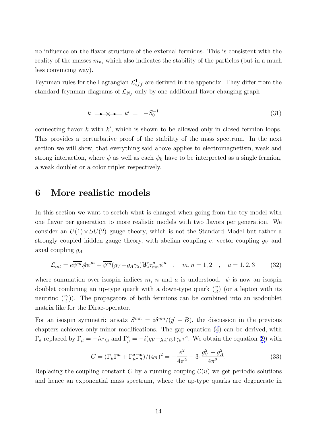<span id="page-14-0"></span>no influence on the flavor structure of the external fermions. This is consistent with the reality of the masses  $m_n$ , which also indicates the stability of the particles (but in a much less convincing way).

Feynman rules for the Lagrangian  $\mathcal{L}^1_{eff}$  are derived in the appendix. They differ from the standard feynman diagrams of  $\mathcal{L}_{N_f}$  only by one additional flavor changing graph

$$
k \longrightarrow \longrightarrow k' = -S_0^{-1} \tag{31}
$$

connecting flavor  $k$  with  $k'$ , which is shown to be allowed only in closed fermion loops. This provides a perturbative proof of the stability of the mass spectrum. In the next section we will show, that everything said above applies to electromagnetism, weak and strong interaction, where  $\psi$  as well as each  $\psi_k$  have to be interpreted as a single fermion, a weak doublet or a color triplet respectively.

#### **6 More realistic models**

In this section we want to scetch what is changed when going from the toy model with one flavor per generation to more realistic models with two flavors per generation. We consider an  $U(1) \times SU(2)$  gauge theory, which is not the Standard Model but rather a strongly coupled hidden gauge theory, with abelian coupling  $e$ , vector coupling  $g_V$  and axial coupling  $g_A$ 

$$
\mathcal{L}_{int} = e\overline{\psi^m}A\psi^m + \overline{\psi^m}(g_V - g_A \gamma_5)W_a \tau_{mn}^a \psi^n \quad , \quad m, n = 1, 2 \quad , \quad a = 1, 2, 3 \tag{32}
$$

where summation over isospin indices m, n and a is understood.  $\psi$  is now an isospin doublet combining an up-type quark with a down-type quark  $\binom{u}{d}$  (or a lepton with its neutrino  $\binom{\nu_l}{l}$ . The propagators of both fermions can be combined into an isodoublet matrix like for the Dirac-operator.

For an isospin symmetric ansatz  $S^{mn} = i\delta^{mn}/(\dot{p} - B)$ , the discussion in the previous chapters achieves only minor modifications. The gap equation [\(4\)](#page-4-0) can be derived, with  $\Gamma_a$  replaced by  $\Gamma_\mu = -ie\gamma_\mu$  and  $\Gamma_\mu^a = -i(g_V - g_A \gamma_5)\gamma_\mu \tau^a$ . We obtain the equation [\(9](#page-4-0)) with

$$
C = (\Gamma_{\mu}\Gamma^{\mu} + \Gamma_{\mu}^{a}\Gamma_{a}^{\mu})/(4\pi)^{2} = -\frac{e^{2}}{4\pi^{2}} - 3 \cdot \frac{g_{V}^{2} - g_{A}^{2}}{4\pi^{2}}.
$$
 (33)

Replacing the coupling constant C by a running couping  $\mathcal{C}(u)$  we get periodic solutions and hence an exponential mass spectrum, where the up-type quarks are degenerate in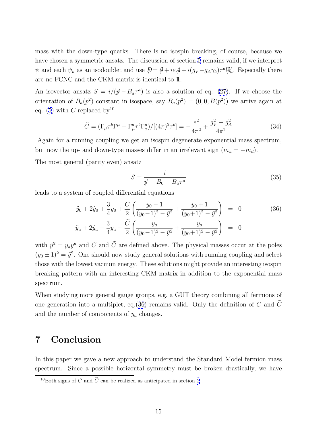mass with the down-type quarks. There is no isospin breaking, of course, because we have chosen a symmetric ansatz. The discussion of section [5](#page-12-0) remains valid, if we interpret  $\psi$  and each  $\psi_k$  as an isodoublet and use  $\mathcal{D} = \partial + ie\mathcal{A} + i(g_V - g_A\gamma_5)\tau^a W_a$ . Especially there are no FCNC and the CKM matrix is identical to 11.

An isovector ansatz  $S = i/((p - B_a \tau^a))$  is also a solution of eq. [\(27\)](#page-13-0). If we choose the orientation of  $B_a(p^2)$  constant in isospace, say  $B_a(p^2) = (0, 0, B(p^2))$  we arrive again at eq. [\(5\)](#page-4-0) with C replaced by<sup>10</sup>

$$
\tilde{C} = (\Gamma_{\mu}\tau^{b}\Gamma^{\mu} + \Gamma_{\mu}^{a}\tau^{b}\Gamma_{a}^{\mu})/[(4\pi)^{2}\tau^{b}] = -\frac{e^{2}}{4\pi^{2}} + \frac{g_{V}^{2} - g_{A}^{2}}{4\pi^{2}}
$$
(34)

Again for a running coupling we get an isospin degenerate exponential mass spectrum, but now the up- and down-type masses differ in an irrelevant sign  $(m_u = -m_d)$ .

The most general (parity even) ansatz

$$
S = \frac{i}{p \dot{p} - B_0 - B_a \tau^a} \tag{35}
$$

leads to a system of coupled differential equations

$$
\ddot{y}_0 + 2\dot{y}_0 + \frac{3}{4}y_0 + \frac{C}{2} \left( \frac{y_0 - 1}{(y_0 - 1)^2 - \vec{y}^2} + \frac{y_0 + 1}{(y_0 + 1)^2 - \vec{y}^2} \right) = 0
$$
\n
$$
\ddot{y}_a + 2\dot{y}_a + \frac{3}{4}y_a - \frac{\tilde{C}}{2} \left( \frac{y_a}{(y_0 - 1)^2 - \vec{y}^2} + \frac{y_a}{(y_0 + 1)^2 - \vec{y}^2} \right) = 0
$$
\n(36)

with  $\vec{y}^2 = y_a y^a$  and C and  $\tilde{C}$  are defined above. The physical masses occur at the poles  $(y_0 \pm 1)^2 = \vec{y}^2$ . One should now study general solutions with running coupling and select those with the lowest vacuum energy. These solutions might provide an interesting isospin breaking pattern with an interesting CKM matrix in addition to the exponential mass spectrum.

When studying more general gauge groups, e.g. a GUT theory combining all fermions of one generation into a multiplet, eq.(36) remains valid. Only the definition of  $C$  and  $\tilde{C}$ and the number of components of  $y_a$  changes.

### **7 Conclusion**

In this paper we gave a new approach to understand the Standard Model fermion mass spectrum. Since a possible horizontal symmetry must be broken drastically, we have

<sup>&</sup>lt;sup>10</sup>Both signs of C and  $\tilde{C}$  can be realized as anticipated in section [2](#page-3-0)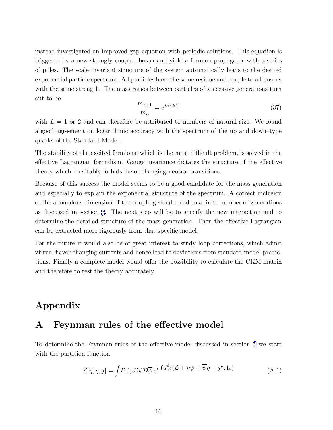instead investigated an improved gap equation with periodic solutions. This equation is triggered by a new strongly coupled boson and yield a fermion propagator with a series of poles. The scale invariant structure of the system automatically leads to the desired exponential particle spectrum. All particles have the same residue and couple to all bosons with the same strength. The mass ratios between particles of successive generations turn out to be

$$
\frac{m_{n+1}}{m_n} = e^{L\pi \mathcal{O}(1)}\tag{37}
$$

with  $L = 1$  or 2 and can therefore be attributed to numbers of natural size. We found a good agreement on logarithmic accuracy with the spectrum of the up and down–type quarks of the Standard Model.

The stability of the excited fermions, which is the most difficult problem, is solved in the effective Lagrangian formalism. Gauge invariance dictates the structure of the effective theory which inevitably forbids flavor changing neutral transitions.

Because of this success the model seems to be a good candidate for the mass generation and especially to explain the exponential structure of the spectrum. A correct inclusion of the anomalous dimension of the coupling should lead to a finite number of generations as discussed in section [3](#page-5-0). The next step will be to specify the new interaction and to determine the detailed structure of the mass generation. Then the effective Lagrangian can be extracted more rigorously from that specific model.

For the future it would also be of great interest to study loop corrections, which admit virtual flavor changing currents and hence lead to deviations from standard model predictions. Finally a complete model would offer the possibility to calculate the CKM matrix and therefore to test the theory accurately.

### **Appendix**

#### **A Feynman rules of the effective model**

To determine the Feynman rules of the effective model discussed in section [5](#page-12-0) we start with the partition function

$$
Z[\overline{\eta}, \eta, j] = \int \mathcal{D}A_{\mu} \mathcal{D}\psi \mathcal{D}\overline{\psi} e^{i \int d^{4}x (\mathcal{L} + \overline{\eta}\psi + \overline{\psi}\eta + j^{\mu}A_{\mu})}
$$
(A.1)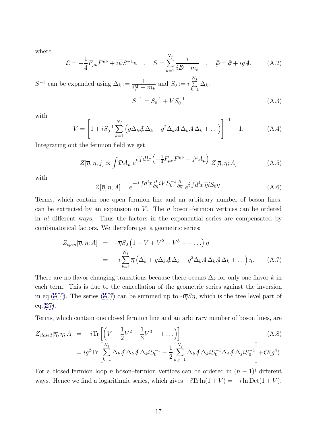<span id="page-17-0"></span>where

$$
\mathcal{L} = -\frac{1}{4} F_{\mu\nu} F^{\mu\nu} + i \overline{\psi} S^{-1} \psi \quad , \quad S = \sum_{k=1}^{N_f} \frac{i}{i \mathcal{D} - m_k} \quad , \quad \mathcal{D} = \mathcal{D} + i g \mathcal{A}.
$$
 (A.2)

 $S^{-1}$  can be expanded using  $\Delta_k := \frac{1}{i\mathcal{A}}$  $\frac{1}{i\partial - m_k}$  and  $S_0 := i$  $\frac{N_f}{\sum}$  $\sum_{k=1}^{\infty} \Delta_k$ :

$$
S^{-1} = S_0^{-1} + VS_0^{-1}
$$
 (A.3)

with

$$
V = \left[1 + iS_0^{-1} \sum_{k=1}^{N_f} \left(g\Delta_k A \Delta_k + g^2 \Delta_k A \Delta_k A \Delta_k + \ldots\right)\right]^{-1} - 1.
$$
 (A.4)

Integrating out the fermion field we get

$$
Z[\overline{\eta}, \eta, j] \propto \int \mathcal{D}A_{\mu} e^{i \int d^4x \left(-\frac{1}{4}F_{\mu\nu}F^{\mu\nu} + j^{\mu}A_{\mu}\right)} Z[\overline{\eta}, \eta; A] \tag{A.5}
$$

with

$$
Z[\overline{\eta}, \eta; A] = e^{-i \int d^4x \frac{\partial}{\partial \eta} iVS_0^{-1} \frac{\partial}{\partial \overline{\eta}}} e^{i \int d^4x \, \overline{\eta} iS_0 \eta}.
$$
 (A.6)

Terms, which contain one open fermion line and an arbitrary number of boson lines, can be extracted by an expansion in V. The  $n$  boson–fermion vertices can be ordered in  $n!$  different ways. Thus the factors in the exponential series are compensated by combinatorical factors. We therefore get a geometric series:

$$
Z_{open}[\overline{\eta}, \eta; A] = -\overline{\eta} S_0 \left( 1 - V + V^2 - V^3 + \dots \right) \eta
$$
  

$$
= -i \sum_{k=1}^{N_f} \overline{\eta} \left( \Delta_k + g \Delta_k A \Delta_k + g^2 \Delta_k A \Delta_k + \dots \right) \eta. \tag{A.7}
$$

There are no flavor changing transitions because there occurs  $\Delta_k$  for only one flavor k in each term. This is due to the cancellation of the geometric series against the inversion in eq.(A.4). The series (A.7) can be summed up to  $-i\overline{\eta}S\eta$ , which is the tree level part of  $eq. (27).$  $eq. (27).$  $eq. (27).$ 

Terms, which contain one closed fermion line and an arbitrary number of boson lines, are

$$
Z_{closed}[\overline{\eta}, \eta; A] = -i \text{Tr} \left[ \left( V - \frac{1}{2} V^2 + \frac{1}{3} V^3 - + \ldots \right) \right]
$$
\n
$$
= ig^2 \text{Tr} \left[ \sum_{k=1}^{N_f} \Delta_k A \Delta_k A \Delta_k i S_0^{-1} - \frac{1}{2} \sum_{k,j=1}^{N_f} \Delta_k A \Delta_k i S_0^{-1} \Delta_j A \Delta_j i S_0^{-1} \right] + \mathcal{O}(g^4).
$$
\n(A.8)

For a closed fermion loop n boson–fermion vertices can be ordered in  $(n-1)!$  different ways. Hence we find a logarithmic series, which gives  $-i\text{Tr} \ln(1+V) = -i\ln \text{Det}(1+V)$ .